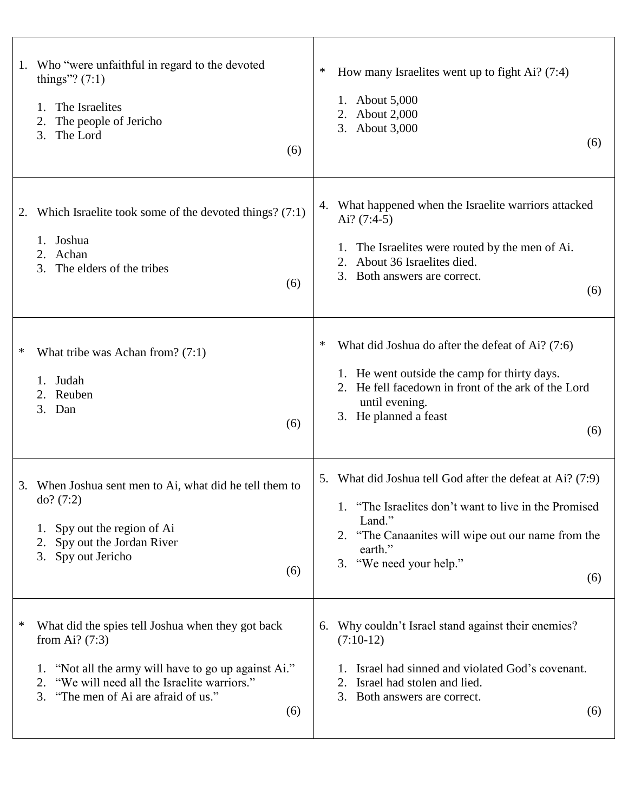| Who "were unfaithful in regard to the devoted<br>1.<br>things"? $(7:1)$<br>The Israelites<br>1.<br>The people of Jericho<br>2.<br>The Lord<br>3.<br>(6)                                                                            | How many Israelites went up to fight Ai? (7:4)<br>∗<br><b>About 5,000</b><br><b>About 2,000</b><br>2.<br>About 3,000<br>3.<br>(6)                                                                                             |
|------------------------------------------------------------------------------------------------------------------------------------------------------------------------------------------------------------------------------------|-------------------------------------------------------------------------------------------------------------------------------------------------------------------------------------------------------------------------------|
| Which Israelite took some of the devoted things? (7:1)<br>2.<br>Joshua<br>$1_{-}$<br>2. Achan<br>3. The elders of the tribes<br>(6)                                                                                                | What happened when the Israelite warriors attacked<br>4.<br>Ai? $(7:4-5)$<br>1. The Israelites were routed by the men of Ai.<br>About 36 Israelites died.<br>2.<br>3.<br>Both answers are correct.<br>(6)                     |
| ∗<br>What tribe was Achan from? $(7:1)$<br>Judah<br>1.<br>2. Reuben<br>3. Dan<br>(6)                                                                                                                                               | What did Joshua do after the defeat of Ai? (7:6)<br>1. He went outside the camp for thirty days.<br>2. He fell facedown in front of the ark of the Lord<br>until evening.<br>3. He planned a feast<br>(6)                     |
| 3. When Joshua sent men to Ai, what did he tell them to<br>do? (7:2)<br>Spy out the region of Ai<br>2. Spy out the Jordan River<br>3. Spy out Jericho<br>(6)                                                                       | 5. What did Joshua tell God after the defeat at Ai? (7:9)<br>"The Israelites don't want to live in the Promised"<br>Land."<br>2. "The Canaanites will wipe out our name from the<br>earth."<br>3. "We need your help."<br>(6) |
| ∗<br>What did the spies tell Joshua when they got back<br>from Ai? $(7:3)$<br>1. "Not all the army will have to go up against Ai."<br>2. "We will need all the Israelite warriors."<br>3. "The men of Ai are afraid of us."<br>(6) | 6. Why couldn't Israel stand against their enemies?<br>$(7:10-12)$<br>Israel had sinned and violated God's covenant.<br>2. Israel had stolen and lied.<br>3. Both answers are correct.<br>(6)                                 |

 $\top$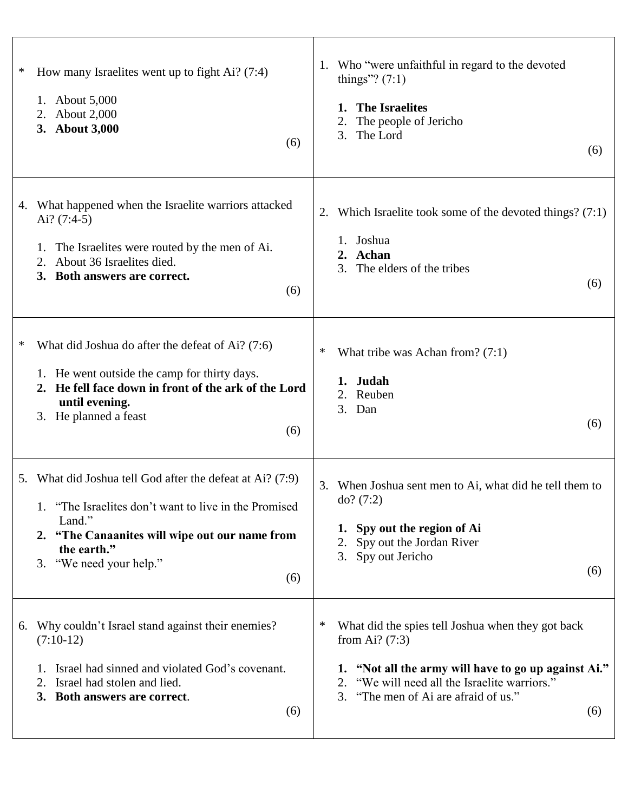| ∗ | How many Israelites went up to fight Ai? (7:4)<br>1. About 5,000<br>2. About 2,000<br>3. About 3,000<br>(6)                                                                                                                     | Who "were unfaithful in regard to the devoted<br>1.<br>things"? $(7:1)$<br><b>The Israelites</b><br>The people of Jericho<br>The Lord<br>3.<br>(6)                                                                            |
|---|---------------------------------------------------------------------------------------------------------------------------------------------------------------------------------------------------------------------------------|-------------------------------------------------------------------------------------------------------------------------------------------------------------------------------------------------------------------------------|
|   | 4. What happened when the Israelite warriors attacked<br>Ai? $(7:4-5)$<br>The Israelites were routed by the men of Ai.<br>1.<br>About 36 Israelites died.<br>2.<br>3. Both answers are correct.<br>(6)                          | Which Israelite took some of the devoted things? $(7:1)$<br>1. Joshua<br><b>Achan</b><br>2.<br>The elders of the tribes<br>3.<br>(6)                                                                                          |
| ∗ | What did Joshua do after the defeat of Ai? (7:6)<br>1. He went outside the camp for thirty days.<br>2. He fell face down in front of the ark of the Lord<br>until evening.<br>3. He planned a feast<br>(6)                      | ∗<br>What tribe was Achan from? $(7:1)$<br>1. Judah<br>2. Reuben<br>3. Dan<br>(6)                                                                                                                                             |
|   | 5. What did Joshua tell God after the defeat at Ai? (7:9)<br>1. "The Israelites don't want to live in the Promised<br>Land."<br>2. "The Canaanites will wipe out our name from<br>the earth."<br>3. "We need your help."<br>(6) | 3. When Joshua sent men to Ai, what did he tell them to<br>do? (7:2)<br>1. Spy out the region of Ai<br>2. Spy out the Jordan River<br>3. Spy out Jericho<br>(6)                                                               |
|   | 6. Why couldn't Israel stand against their enemies?<br>$(7:10-12)$<br>Israel had sinned and violated God's covenant.<br>Israel had stolen and lied.<br>2.<br>3. Both answers are correct.<br>(6)                                | What did the spies tell Joshua when they got back<br>from Ai? $(7:3)$<br>1. "Not all the army will have to go up against Ai."<br>2. "We will need all the Israelite warriors."<br>3. "The men of Ai are afraid of us."<br>(6) |

 $\Gamma$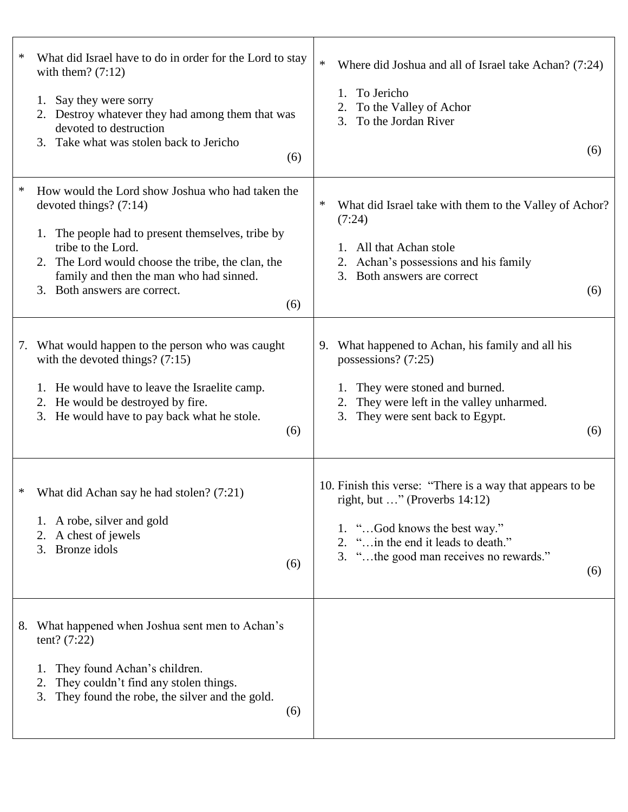| ∗<br>with them? $(7:12)$<br>Say they were sorry<br>1.<br>devoted to destruction<br>3. Take what was stolen back to Jericho                                                                                                                    | What did Israel have to do in order for the Lord to stay<br>2. Destroy whatever they had among them that was<br>(6) | $\ast$<br>Where did Joshua and all of Israel take Achan? (7:24)<br>To Jericho<br>1.<br>2. To the Valley of Achor<br>To the Jordan River<br>3.<br>(6)                                                                  |
|-----------------------------------------------------------------------------------------------------------------------------------------------------------------------------------------------------------------------------------------------|---------------------------------------------------------------------------------------------------------------------|-----------------------------------------------------------------------------------------------------------------------------------------------------------------------------------------------------------------------|
| $\ast$<br>devoted things? $(7:14)$<br>1. The people had to present themselves, tribe by<br>tribe to the Lord.<br>2. The Lord would choose the tribe, the clan, the<br>family and then the man who had sinned.<br>3. Both answers are correct. | How would the Lord show Joshua who had taken the<br>(6)                                                             | ∗<br>What did Israel take with them to the Valley of Achor?<br>(7:24)<br>All that Achan stole<br>1.<br>Achan's possessions and his family<br>2.<br>Both answers are correct<br>3.<br>(6)                              |
| What would happen to the person who was caught<br>7.<br>with the devoted things? $(7:15)$<br>1. He would have to leave the Israelite camp.<br>2. He would be destroyed by fire.<br>3. He would have to pay back what he stole.                | (6)                                                                                                                 | What happened to Achan, his family and all his<br>9.<br>possessions? (7:25)<br>They were stoned and burned.<br>They were left in the valley unharmed.<br>2.<br>They were sent back to Egypt.<br>3.<br>(6)             |
| What did Achan say he had stolen? (7:21)<br>$\ast$<br>1. A robe, silver and gold<br>2. A chest of jewels<br>3. Bronze idols                                                                                                                   | (6)                                                                                                                 | 10. Finish this verse: "There is a way that appears to be<br>right, but " (Proverbs $14:12$ )<br>1. "God knows the best way."<br>2. " in the end it leads to death."<br>3. "the good man receives no rewards."<br>(6) |
| What happened when Joshua sent men to Achan's<br>8.<br>tent? $(7:22)$<br>They found Achan's children.<br>1.<br>They couldn't find any stolen things.<br>2.<br>They found the robe, the silver and the gold.<br>3.                             | (6)                                                                                                                 |                                                                                                                                                                                                                       |